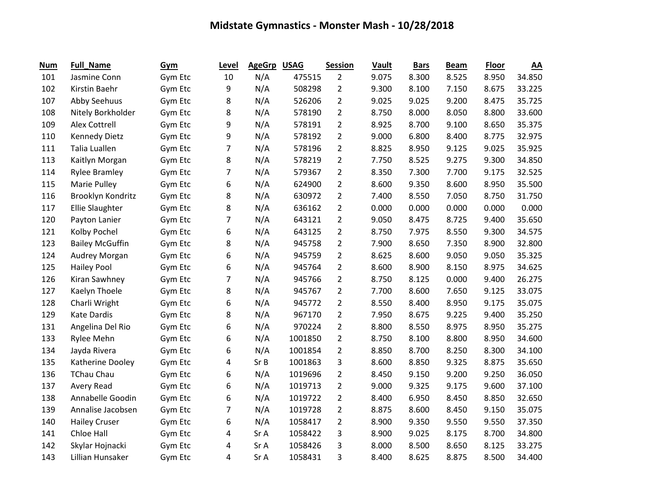| <b>Num</b> | Full_Name              | Gym     | Level          | AgeGrp USAG |         | <b>Session</b> | Vault | <b>Bars</b> | <b>Beam</b> | <b>Floor</b> | $\underline{AA}$ |
|------------|------------------------|---------|----------------|-------------|---------|----------------|-------|-------------|-------------|--------------|------------------|
| 101        | Jasmine Conn           | Gym Etc | 10             | N/A         | 475515  | $\overline{2}$ | 9.075 | 8.300       | 8.525       | 8.950        | 34.850           |
| 102        | Kirstin Baehr          | Gym Etc | 9              | N/A         | 508298  | $\overline{2}$ | 9.300 | 8.100       | 7.150       | 8.675        | 33.225           |
| 107        | Abby Seehuus           | Gym Etc | 8              | N/A         | 526206  | $\overline{2}$ | 9.025 | 9.025       | 9.200       | 8.475        | 35.725           |
| 108        | Nitely Borkholder      | Gym Etc | 8              | N/A         | 578190  | $\overline{2}$ | 8.750 | 8.000       | 8.050       | 8.800        | 33.600           |
| 109        | Alex Cottrell          | Gym Etc | 9              | N/A         | 578191  | $\overline{2}$ | 8.925 | 8.700       | 9.100       | 8.650        | 35.375           |
| 110        | <b>Kennedy Dietz</b>   | Gym Etc | 9              | N/A         | 578192  | $\overline{2}$ | 9.000 | 6.800       | 8.400       | 8.775        | 32.975           |
| 111        | <b>Talia Luallen</b>   | Gym Etc | $\overline{7}$ | N/A         | 578196  | 2              | 8.825 | 8.950       | 9.125       | 9.025        | 35.925           |
| 113        | Kaitlyn Morgan         | Gym Etc | 8              | N/A         | 578219  | $\overline{2}$ | 7.750 | 8.525       | 9.275       | 9.300        | 34.850           |
| 114        | <b>Rylee Bramley</b>   | Gym Etc | $\overline{7}$ | N/A         | 579367  | $\overline{c}$ | 8.350 | 7.300       | 7.700       | 9.175        | 32.525           |
| 115        | Marie Pulley           | Gym Etc | 6              | N/A         | 624900  | 2              | 8.600 | 9.350       | 8.600       | 8.950        | 35.500           |
| 116        | Brooklyn Kondritz      | Gym Etc | 8              | N/A         | 630972  | $\overline{2}$ | 7.400 | 8.550       | 7.050       | 8.750        | 31.750           |
| 117        | Ellie Slaughter        | Gym Etc | 8              | N/A         | 636162  | $\overline{2}$ | 0.000 | 0.000       | 0.000       | 0.000        | 0.000            |
| 120        | Payton Lanier          | Gym Etc | 7              | N/A         | 643121  | 2              | 9.050 | 8.475       | 8.725       | 9.400        | 35.650           |
| 121        | Kolby Pochel           | Gym Etc | 6              | N/A         | 643125  | $\overline{2}$ | 8.750 | 7.975       | 8.550       | 9.300        | 34.575           |
| 123        | <b>Bailey McGuffin</b> | Gym Etc | 8              | N/A         | 945758  | $\overline{2}$ | 7.900 | 8.650       | 7.350       | 8.900        | 32.800           |
| 124        | Audrey Morgan          | Gym Etc | 6              | N/A         | 945759  | 2              | 8.625 | 8.600       | 9.050       | 9.050        | 35.325           |
| 125        | <b>Hailey Pool</b>     | Gym Etc | 6              | N/A         | 945764  | 2              | 8.600 | 8.900       | 8.150       | 8.975        | 34.625           |
| 126        | Kiran Sawhney          | Gym Etc | $\overline{7}$ | N/A         | 945766  | $\overline{2}$ | 8.750 | 8.125       | 0.000       | 9.400        | 26.275           |
| 127        | Kaelyn Thoele          | Gym Etc | 8              | N/A         | 945767  | $\overline{2}$ | 7.700 | 8.600       | 7.650       | 9.125        | 33.075           |
| 128        | Charli Wright          | Gym Etc | 6              | N/A         | 945772  | $\overline{2}$ | 8.550 | 8.400       | 8.950       | 9.175        | 35.075           |
| 129        | <b>Kate Dardis</b>     | Gym Etc | 8              | N/A         | 967170  | $\overline{2}$ | 7.950 | 8.675       | 9.225       | 9.400        | 35.250           |
| 131        | Angelina Del Rio       | Gym Etc | 6              | N/A         | 970224  | 2              | 8.800 | 8.550       | 8.975       | 8.950        | 35.275           |
| 133        | Rylee Mehn             | Gym Etc | 6              | N/A         | 1001850 | $\overline{2}$ | 8.750 | 8.100       | 8.800       | 8.950        | 34.600           |
| 134        | Jayda Rivera           | Gym Etc | 6              | N/A         | 1001854 | $\overline{2}$ | 8.850 | 8.700       | 8.250       | 8.300        | 34.100           |
| 135        | Katherine Dooley       | Gym Etc | 4              | Sr B        | 1001863 | 3              | 8.600 | 8.850       | 9.325       | 8.875        | 35.650           |
| 136        | <b>TChau Chau</b>      | Gym Etc | 6              | N/A         | 1019696 | 2              | 8.450 | 9.150       | 9.200       | 9.250        | 36.050           |
| 137        | Avery Read             | Gym Etc | 6              | N/A         | 1019713 | 2              | 9.000 | 9.325       | 9.175       | 9.600        | 37.100           |
| 138        | Annabelle Goodin       | Gym Etc | 6              | N/A         | 1019722 | $\overline{2}$ | 8.400 | 6.950       | 8.450       | 8.850        | 32.650           |
| 139        | Annalise Jacobsen      | Gym Etc | 7              | N/A         | 1019728 | $\overline{2}$ | 8.875 | 8.600       | 8.450       | 9.150        | 35.075           |
| 140        | <b>Hailey Cruser</b>   | Gym Etc | 6              | N/A         | 1058417 | $\overline{2}$ | 8.900 | 9.350       | 9.550       | 9.550        | 37.350           |
| 141        | Chloe Hall             | Gym Etc | 4              | Sr A        | 1058422 | 3              | 8.900 | 9.025       | 8.175       | 8.700        | 34.800           |
| 142        | Skylar Hojnacki        | Gym Etc | 4              | Sr A        | 1058426 | 3              | 8.000 | 8.500       | 8.650       | 8.125        | 33.275           |
| 143        | Lillian Hunsaker       | Gym Etc | 4              | Sr A        | 1058431 | 3              | 8.400 | 8.625       | 8.875       | 8.500        | 34.400           |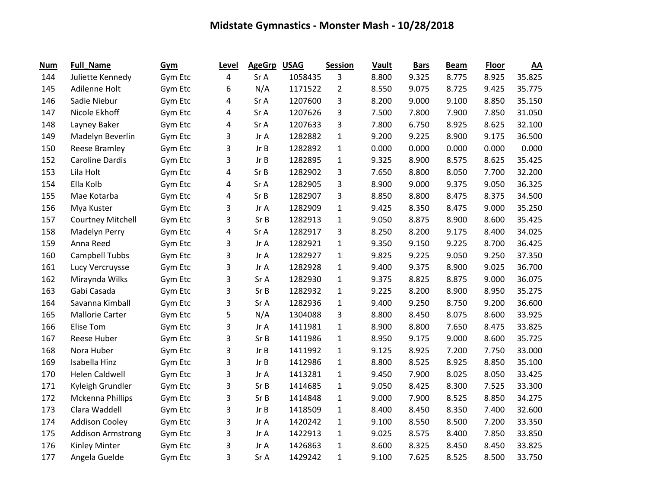| <b>Num</b> | <b>Full_Name</b>         | Gym     | Level | <b>AgeGrp</b> | <b>USAG</b> | <b>Session</b> | Vault | <b>Bars</b> | <b>Beam</b> | <b>Floor</b> | $\underline{AA}$ |
|------------|--------------------------|---------|-------|---------------|-------------|----------------|-------|-------------|-------------|--------------|------------------|
| 144        | Juliette Kennedy         | Gym Etc | 4     | Sr A          | 1058435     | 3              | 8.800 | 9.325       | 8.775       | 8.925        | 35.825           |
| 145        | Adilenne Holt            | Gym Etc | 6     | N/A           | 1171522     | 2              | 8.550 | 9.075       | 8.725       | 9.425        | 35.775           |
| 146        | Sadie Niebur             | Gym Etc | 4     | Sr A          | 1207600     | 3              | 8.200 | 9.000       | 9.100       | 8.850        | 35.150           |
| 147        | Nicole Ekhoff            | Gym Etc | 4     | Sr A          | 1207626     | 3              | 7.500 | 7.800       | 7.900       | 7.850        | 31.050           |
| 148        | Layney Baker             | Gym Etc | 4     | Sr A          | 1207633     | 3              | 7.800 | 6.750       | 8.925       | 8.625        | 32.100           |
| 149        | Madelyn Beverlin         | Gym Etc | 3     | Jr A          | 1282882     | $\mathbf{1}$   | 9.200 | 9.225       | 8.900       | 9.175        | 36.500           |
| 150        | Reese Bramley            | Gym Etc | 3     | Jr B          | 1282892     | 1              | 0.000 | 0.000       | 0.000       | 0.000        | 0.000            |
| 152        | <b>Caroline Dardis</b>   | Gym Etc | 3     | Jr B          | 1282895     | $\mathbf{1}$   | 9.325 | 8.900       | 8.575       | 8.625        | 35.425           |
| 153        | Lila Holt                | Gym Etc | 4     | Sr B          | 1282902     | 3              | 7.650 | 8.800       | 8.050       | 7.700        | 32.200           |
| 154        | Ella Kolb                | Gym Etc | 4     | Sr A          | 1282905     | 3              | 8.900 | 9.000       | 9.375       | 9.050        | 36.325           |
| 155        | Mae Kotarba              | Gym Etc | 4     | Sr B          | 1282907     | 3              | 8.850 | 8.800       | 8.475       | 8.375        | 34.500           |
| 156        | Mya Kuster               | Gym Etc | 3     | Jr A          | 1282909     | 1              | 9.425 | 8.350       | 8.475       | 9.000        | 35.250           |
| 157        | <b>Courtney Mitchell</b> | Gym Etc | 3     | Sr B          | 1282913     | $\mathbf{1}$   | 9.050 | 8.875       | 8.900       | 8.600        | 35.425           |
| 158        | Madelyn Perry            | Gym Etc | 4     | Sr A          | 1282917     | 3              | 8.250 | 8.200       | 9.175       | 8.400        | 34.025           |
| 159        | Anna Reed                | Gym Etc | 3     | Jr A          | 1282921     | 1              | 9.350 | 9.150       | 9.225       | 8.700        | 36.425           |
| 160        | Campbell Tubbs           | Gym Etc | 3     | Jr A          | 1282927     | 1              | 9.825 | 9.225       | 9.050       | 9.250        | 37.350           |
| 161        | Lucy Vercruysse          | Gym Etc | 3     | Jr A          | 1282928     | 1              | 9.400 | 9.375       | 8.900       | 9.025        | 36.700           |
| 162        | Miraynda Wilks           | Gym Etc | 3     | Sr A          | 1282930     | 1              | 9.375 | 8.825       | 8.875       | 9.000        | 36.075           |
| 163        | Gabi Casada              | Gym Etc | 3     | Sr B          | 1282932     | $\mathbf{1}$   | 9.225 | 8.200       | 8.900       | 8.950        | 35.275           |
| 164        | Savanna Kimball          | Gym Etc | 3     | Sr A          | 1282936     | 1              | 9.400 | 9.250       | 8.750       | 9.200        | 36.600           |
| 165        | <b>Mallorie Carter</b>   | Gym Etc | 5     | N/A           | 1304088     | 3              | 8.800 | 8.450       | 8.075       | 8.600        | 33.925           |
| 166        | <b>Elise Tom</b>         | Gym Etc | 3     | Jr A          | 1411981     | 1              | 8.900 | 8.800       | 7.650       | 8.475        | 33.825           |
| 167        | Reese Huber              | Gym Etc | 3     | Sr B          | 1411986     | 1              | 8.950 | 9.175       | 9.000       | 8.600        | 35.725           |
| 168        | Nora Huber               | Gym Etc | 3     | Jr B          | 1411992     | 1              | 9.125 | 8.925       | 7.200       | 7.750        | 33.000           |
| 169        | Isabella Hinz            | Gym Etc | 3     | Jr B          | 1412986     | $\mathbf{1}$   | 8.800 | 8.525       | 8.925       | 8.850        | 35.100           |
| 170        | <b>Helen Caldwell</b>    | Gym Etc | 3     | Jr A          | 1413281     | 1              | 9.450 | 7.900       | 8.025       | 8.050        | 33.425           |
| 171        | Kyleigh Grundler         | Gym Etc | 3     | Sr B          | 1414685     | 1              | 9.050 | 8.425       | 8.300       | 7.525        | 33.300           |
| 172        | <b>Mckenna Phillips</b>  | Gym Etc | 3     | Sr B          | 1414848     | $\mathbf{1}$   | 9.000 | 7.900       | 8.525       | 8.850        | 34.275           |
| 173        | Clara Waddell            | Gym Etc | 3     | JrB           | 1418509     | 1              | 8.400 | 8.450       | 8.350       | 7.400        | 32.600           |
| 174        | <b>Addison Cooley</b>    | Gym Etc | 3     | Jr A          | 1420242     | 1              | 9.100 | 8.550       | 8.500       | 7.200        | 33.350           |
| 175        | <b>Addison Armstrong</b> | Gym Etc | 3     | Jr A          | 1422913     | 1              | 9.025 | 8.575       | 8.400       | 7.850        | 33.850           |
| 176        | Kinley Minter            | Gym Etc | 3     | Jr A          | 1426863     | 1              | 8.600 | 8.325       | 8.450       | 8.450        | 33.825           |
| 177        | Angela Guelde            | Gym Etc | 3     | Sr A          | 1429242     | 1              | 9.100 | 7.625       | 8.525       | 8.500        | 33.750           |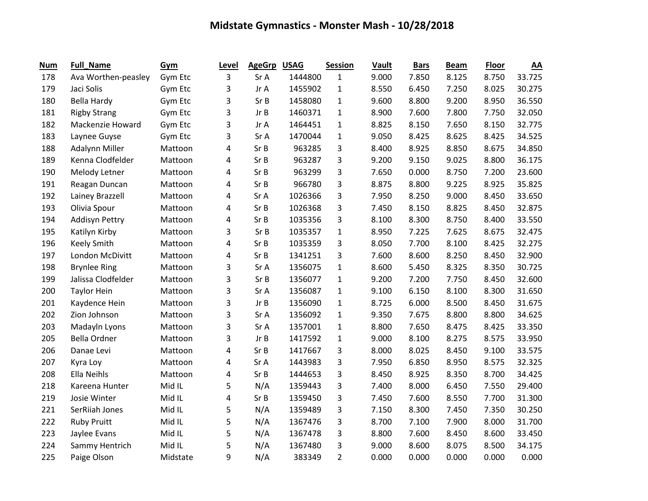| <b>Num</b> | <b>Full_Name</b>    | Gym      | Level | <b>AgeGrp</b> | <b>USAG</b> | <b>Session</b> | Vault | <b>Bars</b> | <b>Beam</b> | <b>Floor</b> | $\underline{AA}$ |
|------------|---------------------|----------|-------|---------------|-------------|----------------|-------|-------------|-------------|--------------|------------------|
| 178        | Ava Worthen-peasley | Gym Etc  | 3     | Sr A          | 1444800     | $\mathbf{1}$   | 9.000 | 7.850       | 8.125       | 8.750        | 33.725           |
| 179        | Jaci Solis          | Gym Etc  | 3     | Jr A          | 1455902     | $\mathbf{1}$   | 8.550 | 6.450       | 7.250       | 8.025        | 30.275           |
| 180        | <b>Bella Hardy</b>  | Gym Etc  | 3     | Sr B          | 1458080     | $\mathbf{1}$   | 9.600 | 8.800       | 9.200       | 8.950        | 36.550           |
| 181        | <b>Rigby Strang</b> | Gym Etc  | 3     | Jr B          | 1460371     | $\mathbf{1}$   | 8.900 | 7.600       | 7.800       | 7.750        | 32.050           |
| 182        | Mackenzie Howard    | Gym Etc  | 3     | Jr A          | 1464451     | $\mathbf{1}$   | 8.825 | 8.150       | 7.650       | 8.150        | 32.775           |
| 183        | Laynee Guyse        | Gym Etc  | 3     | Sr A          | 1470044     | $\mathbf{1}$   | 9.050 | 8.425       | 8.625       | 8.425        | 34.525           |
| 188        | Adalynn Miller      | Mattoon  | 4     | Sr B          | 963285      | 3              | 8.400 | 8.925       | 8.850       | 8.675        | 34.850           |
| 189        | Kenna Clodfelder    | Mattoon  | 4     | Sr B          | 963287      | 3              | 9.200 | 9.150       | 9.025       | 8.800        | 36.175           |
| 190        | Melody Letner       | Mattoon  | 4     | Sr B          | 963299      | 3              | 7.650 | 0.000       | 8.750       | 7.200        | 23.600           |
| 191        | Reagan Duncan       | Mattoon  | 4     | Sr B          | 966780      | 3              | 8.875 | 8.800       | 9.225       | 8.925        | 35.825           |
| 192        | Lainey Brazzell     | Mattoon  | 4     | Sr A          | 1026366     | 3              | 7.950 | 8.250       | 9.000       | 8.450        | 33.650           |
| 193        | Olivia Spour        | Mattoon  | 4     | Sr B          | 1026368     | 3              | 7.450 | 8.150       | 8.825       | 8.450        | 32.875           |
| 194        | Addisyn Pettry      | Mattoon  | 4     | Sr B          | 1035356     | 3              | 8.100 | 8.300       | 8.750       | 8.400        | 33.550           |
| 195        | Katilyn Kirby       | Mattoon  | 3     | Sr B          | 1035357     | $\mathbf{1}$   | 8.950 | 7.225       | 7.625       | 8.675        | 32.475           |
| 196        | <b>Keely Smith</b>  | Mattoon  | 4     | Sr B          | 1035359     | 3              | 8.050 | 7.700       | 8.100       | 8.425        | 32.275           |
| 197        | London McDivitt     | Mattoon  | 4     | Sr B          | 1341251     | 3              | 7.600 | 8.600       | 8.250       | 8.450        | 32.900           |
| 198        | <b>Brynlee Ring</b> | Mattoon  | 3     | Sr A          | 1356075     | $\mathbf{1}$   | 8.600 | 5.450       | 8.325       | 8.350        | 30.725           |
| 199        | Jalissa Clodfelder  | Mattoon  | 3     | Sr B          | 1356077     | $\mathbf{1}$   | 9.200 | 7.200       | 7.750       | 8.450        | 32.600           |
| 200        | <b>Taylor Hein</b>  | Mattoon  | 3     | Sr A          | 1356087     | $\mathbf{1}$   | 9.100 | 6.150       | 8.100       | 8.300        | 31.650           |
| 201        | Kaydence Hein       | Mattoon  | 3     | Jr B          | 1356090     | 1              | 8.725 | 6.000       | 8.500       | 8.450        | 31.675           |
| 202        | Zion Johnson        | Mattoon  | 3     | Sr A          | 1356092     | $\mathbf{1}$   | 9.350 | 7.675       | 8.800       | 8.800        | 34.625           |
| 203        | Madayln Lyons       | Mattoon  | 3     | Sr A          | 1357001     | 1              | 8.800 | 7.650       | 8.475       | 8.425        | 33.350           |
| 205        | <b>Bella Ordner</b> | Mattoon  | 3     | Jr B          | 1417592     | 1              | 9.000 | 8.100       | 8.275       | 8.575        | 33.950           |
| 206        | Danae Levi          | Mattoon  | 4     | Sr B          | 1417667     | 3              | 8.000 | 8.025       | 8.450       | 9.100        | 33.575           |
| 207        | Kyra Loy            | Mattoon  | 4     | Sr A          | 1443983     | 3              | 7.950 | 6.850       | 8.950       | 8.575        | 32.325           |
| 208        | Ella Neihls         | Mattoon  | 4     | Sr B          | 1444653     | 3              | 8.450 | 8.925       | 8.350       | 8.700        | 34.425           |
| 218        | Kareena Hunter      | Mid IL   | 5     | N/A           | 1359443     | 3              | 7.400 | 8.000       | 6.450       | 7.550        | 29.400           |
| 219        | Josie Winter        | Mid IL   | 4     | Sr B          | 1359450     | 3              | 7.450 | 7.600       | 8.550       | 7.700        | 31.300           |
| 221        | SerRiiah Jones      | Mid IL   | 5     | N/A           | 1359489     | 3              | 7.150 | 8.300       | 7.450       | 7.350        | 30.250           |
| 222        | <b>Ruby Pruitt</b>  | Mid IL   | 5     | N/A           | 1367476     | 3              | 8.700 | 7.100       | 7.900       | 8.000        | 31.700           |
| 223        | Jaylee Evans        | Mid IL   | 5     | N/A           | 1367478     | 3              | 8.800 | 7.600       | 8.450       | 8.600        | 33.450           |
| 224        | Sammy Hentrich      | Mid IL   | 5     | N/A           | 1367480     | 3              | 9.000 | 8.600       | 8.075       | 8.500        | 34.175           |
| 225        | Paige Olson         | Midstate | 9     | N/A           | 383349      | $\overline{2}$ | 0.000 | 0.000       | 0.000       | 0.000        | 0.000            |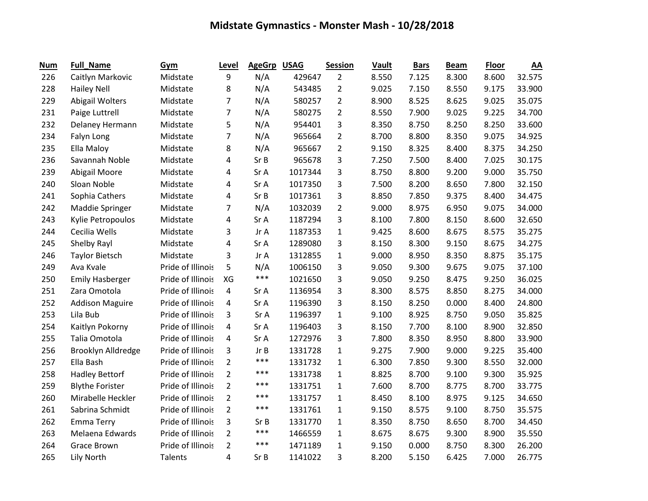| <b>Num</b> | Full_Name              | Gym               | Level          | <b>AgeGrp</b> | <b>USAG</b> | <b>Session</b> | <b>Vault</b> | <b>Bars</b> | <b>Beam</b> | <b>Floor</b> | $\underline{AA}$ |
|------------|------------------------|-------------------|----------------|---------------|-------------|----------------|--------------|-------------|-------------|--------------|------------------|
| 226        | Caitlyn Markovic       | Midstate          | 9              | N/A           | 429647      | $\overline{2}$ | 8.550        | 7.125       | 8.300       | 8.600        | 32.575           |
| 228        | <b>Hailey Nell</b>     | Midstate          | 8              | N/A           | 543485      | $\overline{2}$ | 9.025        | 7.150       | 8.550       | 9.175        | 33.900           |
| 229        | <b>Abigail Wolters</b> | Midstate          | 7              | N/A           | 580257      | $\overline{2}$ | 8.900        | 8.525       | 8.625       | 9.025        | 35.075           |
| 231        | Paige Luttrell         | Midstate          | 7              | N/A           | 580275      | $\overline{2}$ | 8.550        | 7.900       | 9.025       | 9.225        | 34.700           |
| 232        | Delaney Hermann        | Midstate          | 5              | N/A           | 954401      | 3              | 8.350        | 8.750       | 8.250       | 8.250        | 33.600           |
| 234        | Falyn Long             | Midstate          | 7              | N/A           | 965664      | $\overline{2}$ | 8.700        | 8.800       | 8.350       | 9.075        | 34.925           |
| 235        | Ella Maloy             | Midstate          | 8              | N/A           | 965667      | $\overline{2}$ | 9.150        | 8.325       | 8.400       | 8.375        | 34.250           |
| 236        | Savannah Noble         | Midstate          | 4              | Sr B          | 965678      | 3              | 7.250        | 7.500       | 8.400       | 7.025        | 30.175           |
| 239        | Abigail Moore          | Midstate          | 4              | Sr A          | 1017344     | 3              | 8.750        | 8.800       | 9.200       | 9.000        | 35.750           |
| 240        | Sloan Noble            | Midstate          | 4              | Sr A          | 1017350     | 3              | 7.500        | 8.200       | 8.650       | 7.800        | 32.150           |
| 241        | Sophia Cathers         | Midstate          | 4              | Sr B          | 1017361     | 3              | 8.850        | 7.850       | 9.375       | 8.400        | 34.475           |
| 242        | Maddie Springer        | Midstate          | 7              | N/A           | 1032039     | 2              | 9.000        | 8.975       | 6.950       | 9.075        | 34.000           |
| 243        | Kylie Petropoulos      | Midstate          | 4              | Sr A          | 1187294     | 3              | 8.100        | 7.800       | 8.150       | 8.600        | 32.650           |
| 244        | Cecilia Wells          | Midstate          | 3              | Jr A          | 1187353     | $\mathbf{1}$   | 9.425        | 8.600       | 8.675       | 8.575        | 35.275           |
| 245        | Shelby Rayl            | Midstate          | 4              | Sr A          | 1289080     | 3              | 8.150        | 8.300       | 9.150       | 8.675        | 34.275           |
| 246        | <b>Taylor Bietsch</b>  | Midstate          | 3              | Jr A          | 1312855     | $\mathbf{1}$   | 9.000        | 8.950       | 8.350       | 8.875        | 35.175           |
| 249        | Ava Kvale              | Pride of Illinois | 5              | N/A           | 1006150     | 3              | 9.050        | 9.300       | 9.675       | 9.075        | 37.100           |
| 250        | <b>Emily Hasberger</b> | Pride of Illinois | XG             | ***           | 1021650     | 3              | 9.050        | 9.250       | 8.475       | 9.250        | 36.025           |
| 251        | Zara Omotola           | Pride of Illinois | 4              | Sr A          | 1136954     | 3              | 8.300        | 8.575       | 8.850       | 8.275        | 34.000           |
| 252        | <b>Addison Maguire</b> | Pride of Illinois | 4              | Sr A          | 1196390     | 3              | 8.150        | 8.250       | 0.000       | 8.400        | 24.800           |
| 253        | Lila Bub               | Pride of Illinois | 3              | Sr A          | 1196397     | $\mathbf{1}$   | 9.100        | 8.925       | 8.750       | 9.050        | 35.825           |
| 254        | Kaitlyn Pokorny        | Pride of Illinois | 4              | Sr A          | 1196403     | 3              | 8.150        | 7.700       | 8.100       | 8.900        | 32.850           |
| 255        | Talia Omotola          | Pride of Illinois | 4              | Sr A          | 1272976     | 3              | 7.800        | 8.350       | 8.950       | 8.800        | 33.900           |
| 256        | Brooklyn Alldredge     | Pride of Illinois | 3              | Jr B          | 1331728     | $\mathbf{1}$   | 9.275        | 7.900       | 9.000       | 9.225        | 35.400           |
| 257        | Ella Bash              | Pride of Illinois | $\overline{2}$ | ***           | 1331732     | $\mathbf{1}$   | 6.300        | 7.850       | 9.300       | 8.550        | 32.000           |
| 258        | <b>Hadley Bettorf</b>  | Pride of Illinois | $\overline{2}$ | ***           | 1331738     | 1              | 8.825        | 8.700       | 9.100       | 9.300        | 35.925           |
| 259        | <b>Blythe Forister</b> | Pride of Illinois | $\overline{2}$ | ***           | 1331751     | $\mathbf{1}$   | 7.600        | 8.700       | 8.775       | 8.700        | 33.775           |
| 260        | Mirabelle Heckler      | Pride of Illinois | $\overline{2}$ | ***           | 1331757     | $\mathbf{1}$   | 8.450        | 8.100       | 8.975       | 9.125        | 34.650           |
| 261        | Sabrina Schmidt        | Pride of Illinois | $\overline{2}$ | ***           | 1331761     | 1              | 9.150        | 8.575       | 9.100       | 8.750        | 35.575           |
| 262        | Emma Terry             | Pride of Illinois | 3              | Sr B          | 1331770     | $\mathbf{1}$   | 8.350        | 8.750       | 8.650       | 8.700        | 34.450           |
| 263        | Melaena Edwards        | Pride of Illinois | $\overline{2}$ | ***           | 1466559     | 1              | 8.675        | 8.675       | 9.300       | 8.900        | 35.550           |
| 264        | Grace Brown            | Pride of Illinois | $\overline{2}$ | ***           | 1471189     | $\mathbf{1}$   | 9.150        | 0.000       | 8.750       | 8.300        | 26.200           |
| 265        | Lily North             | Talents           | 4              | Sr B          | 1141022     | 3              | 8.200        | 5.150       | 6.425       | 7.000        | 26.775           |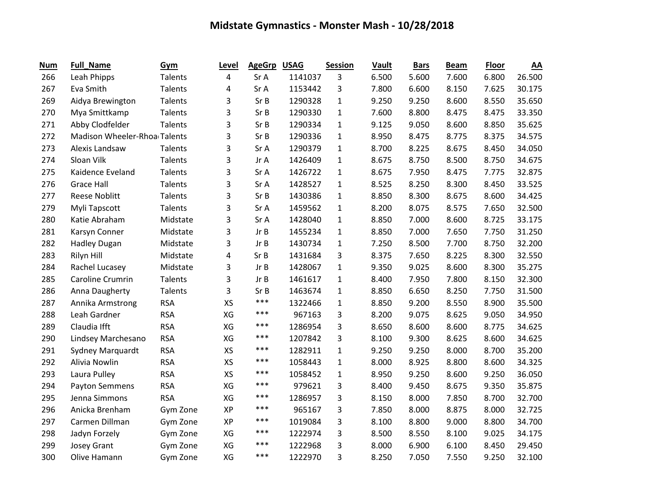| <b>Num</b> | <b>Full_Name</b>             | Gym            | Level | <b>AgeGrp USAG</b> |         | <b>Session</b> | <b>Vault</b> | <b>Bars</b> | <b>Beam</b> | <b>Floor</b> | $\underline{AA}$ |
|------------|------------------------------|----------------|-------|--------------------|---------|----------------|--------------|-------------|-------------|--------------|------------------|
| 266        | Leah Phipps                  | Talents        | 4     | Sr A               | 1141037 | 3              | 6.500        | 5.600       | 7.600       | 6.800        | 26.500           |
| 267        | Eva Smith                    | Talents        | 4     | Sr A               | 1153442 | 3              | 7.800        | 6.600       | 8.150       | 7.625        | 30.175           |
| 269        | Aidya Brewington             | Talents        | 3     | Sr B               | 1290328 | 1              | 9.250        | 9.250       | 8.600       | 8.550        | 35.650           |
| 270        | Mya Smittkamp                | Talents        | 3     | Sr B               | 1290330 | $\mathbf{1}$   | 7.600        | 8.800       | 8.475       | 8.475        | 33.350           |
| 271        | Abby Clodfelder              | Talents        | 3     | Sr B               | 1290334 | $\mathbf{1}$   | 9.125        | 9.050       | 8.600       | 8.850        | 35.625           |
| 272        | Madison Wheeler-Rhoa Talents |                | 3     | Sr B               | 1290336 | $\mathbf{1}$   | 8.950        | 8.475       | 8.775       | 8.375        | 34.575           |
| 273        | Alexis Landsaw               | <b>Talents</b> | 3     | Sr A               | 1290379 | $\mathbf{1}$   | 8.700        | 8.225       | 8.675       | 8.450        | 34.050           |
| 274        | Sloan Vilk                   | Talents        | 3     | Jr A               | 1426409 | 1              | 8.675        | 8.750       | 8.500       | 8.750        | 34.675           |
| 275        | Kaidence Eveland             | Talents        | 3     | Sr A               | 1426722 | $\mathbf{1}$   | 8.675        | 7.950       | 8.475       | 7.775        | 32.875           |
| 276        | <b>Grace Hall</b>            | Talents        | 3     | Sr A               | 1428527 | $\mathbf{1}$   | 8.525        | 8.250       | 8.300       | 8.450        | 33.525           |
| 277        | <b>Reese Noblitt</b>         | Talents        | 3     | Sr B               | 1430386 | $\mathbf{1}$   | 8.850        | 8.300       | 8.675       | 8.600        | 34.425           |
| 279        | Myli Tapscott                | Talents        | 3     | Sr A               | 1459562 | $\mathbf{1}$   | 8.200        | 8.075       | 8.575       | 7.650        | 32.500           |
| 280        | Katie Abraham                | Midstate       | 3     | Sr A               | 1428040 | $\mathbf{1}$   | 8.850        | 7.000       | 8.600       | 8.725        | 33.175           |
| 281        | Karsyn Conner                | Midstate       | 3     | Jr B               | 1455234 | $\mathbf{1}$   | 8.850        | 7.000       | 7.650       | 7.750        | 31.250           |
| 282        | <b>Hadley Dugan</b>          | Midstate       | 3     | Jr B               | 1430734 | 1              | 7.250        | 8.500       | 7.700       | 8.750        | 32.200           |
| 283        | Rilyn Hill                   | Midstate       | 4     | Sr B               | 1431684 | 3              | 8.375        | 7.650       | 8.225       | 8.300        | 32.550           |
| 284        | Rachel Lucasey               | Midstate       | 3     | Jr B               | 1428067 | $\mathbf{1}$   | 9.350        | 9.025       | 8.600       | 8.300        | 35.275           |
| 285        | Caroline Crumrin             | Talents        | 3     | Jr B               | 1461617 | $\mathbf{1}$   | 8.400        | 7.950       | 7.800       | 8.150        | 32.300           |
| 286        | Anna Daugherty               | Talents        | 3     | Sr B               | 1463674 | $\mathbf{1}$   | 8.850        | 6.650       | 8.250       | 7.750        | 31.500           |
| 287        | Annika Armstrong             | <b>RSA</b>     | XS    | ***                | 1322466 | $\mathbf{1}$   | 8.850        | 9.200       | 8.550       | 8.900        | 35.500           |
| 288        | Leah Gardner                 | <b>RSA</b>     | XG    | ***                | 967163  | 3              | 8.200        | 9.075       | 8.625       | 9.050        | 34.950           |
| 289        | Claudia Ifft                 | <b>RSA</b>     | XG    | ***                | 1286954 | 3              | 8.650        | 8.600       | 8.600       | 8.775        | 34.625           |
| 290        | Lindsey Marchesano           | <b>RSA</b>     | XG    | ***                | 1207842 | 3              | 8.100        | 9.300       | 8.625       | 8.600        | 34.625           |
| 291        | Sydney Marquardt             | <b>RSA</b>     | XS    | ***                | 1282911 | $\mathbf{1}$   | 9.250        | 9.250       | 8.000       | 8.700        | 35.200           |
| 292        | Alivia Nowlin                | <b>RSA</b>     | XS    | ***                | 1058443 | $\mathbf{1}$   | 8.000        | 8.925       | 8.800       | 8.600        | 34.325           |
| 293        | Laura Pulley                 | <b>RSA</b>     | XS    | ***                | 1058452 | $\mathbf{1}$   | 8.950        | 9.250       | 8.600       | 9.250        | 36.050           |
| 294        | <b>Payton Semmens</b>        | <b>RSA</b>     | XG    | ***                | 979621  | 3              | 8.400        | 9.450       | 8.675       | 9.350        | 35.875           |
| 295        | Jenna Simmons                | <b>RSA</b>     | XG    | ***                | 1286957 | 3              | 8.150        | 8.000       | 7.850       | 8.700        | 32.700           |
| 296        | Anicka Brenham               | Gym Zone       | XP    | ***                | 965167  | 3              | 7.850        | 8.000       | 8.875       | 8.000        | 32.725           |
| 297        | Carmen Dillman               | Gym Zone       | XP    | ***                | 1019084 | 3              | 8.100        | 8.800       | 9.000       | 8.800        | 34.700           |
| 298        | Jadyn Forzely                | Gym Zone       | XG    | ***                | 1222974 | 3              | 8.500        | 8.550       | 8.100       | 9.025        | 34.175           |
| 299        | <b>Josey Grant</b>           | Gym Zone       | XG    | ***                | 1222968 | 3              | 8.000        | 6.900       | 6.100       | 8.450        | 29.450           |
| 300        | Olive Hamann                 | Gym Zone       | XG    | $***$              | 1222970 | 3              | 8.250        | 7.050       | 7.550       | 9.250        | 32.100           |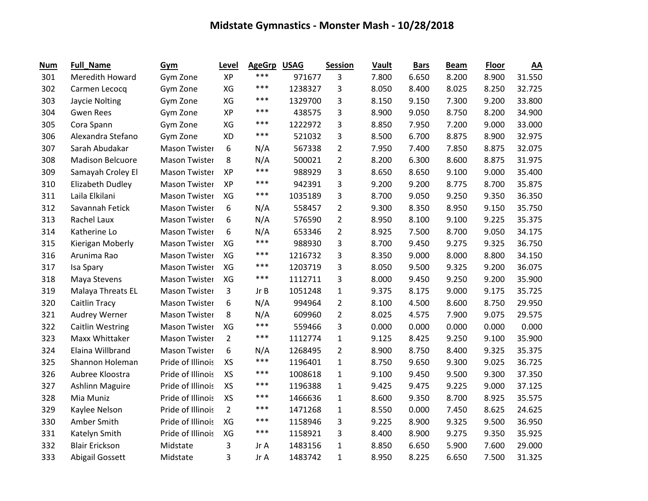| <b>Num</b> | Full_Name               | Gym                  | Level          | <b>AgeGrp</b> | <b>USAG</b> | <b>Session</b> | Vault | <b>Bars</b> | <b>Beam</b> | <b>Floor</b> | $\underline{AA}$ |
|------------|-------------------------|----------------------|----------------|---------------|-------------|----------------|-------|-------------|-------------|--------------|------------------|
| 301        | Meredith Howard         | Gym Zone             | XP             | ***           | 971677      | 3              | 7.800 | 6.650       | 8.200       | 8.900        | 31.550           |
| 302        | Carmen Lecocq           | Gym Zone             | XG             | ***           | 1238327     | 3              | 8.050 | 8.400       | 8.025       | 8.250        | 32.725           |
| 303        | Jaycie Nolting          | Gym Zone             | XG             | ***           | 1329700     | 3              | 8.150 | 9.150       | 7.300       | 9.200        | 33.800           |
| 304        | <b>Gwen Rees</b>        | Gym Zone             | XP             | ***           | 438575      | 3              | 8.900 | 9.050       | 8.750       | 8.200        | 34.900           |
| 305        | Cora Spann              | Gym Zone             | XG             | ***           | 1222972     | 3              | 8.850 | 7.950       | 7.200       | 9.000        | 33.000           |
| 306        | Alexandra Stefano       | Gym Zone             | <b>XD</b>      | ***           | 521032      | 3              | 8.500 | 6.700       | 8.875       | 8.900        | 32.975           |
| 307        | Sarah Abudakar          | <b>Mason Twister</b> | 6              | N/A           | 567338      | 2              | 7.950 | 7.400       | 7.850       | 8.875        | 32.075           |
| 308        | <b>Madison Belcuore</b> | Mason Twister        | 8              | N/A           | 500021      | 2              | 8.200 | 6.300       | 8.600       | 8.875        | 31.975           |
| 309        | Samayah Croley El       | <b>Mason Twister</b> | <b>XP</b>      | ***           | 988929      | 3              | 8.650 | 8.650       | 9.100       | 9.000        | 35.400           |
| 310        | Elizabeth Dudley        | <b>Mason Twister</b> | <b>XP</b>      | ***           | 942391      | 3              | 9.200 | 9.200       | 8.775       | 8.700        | 35.875           |
| 311        | Laila Elkilani          | Mason Twister        | XG             | ***           | 1035189     | 3              | 8.700 | 9.050       | 9.250       | 9.350        | 36.350           |
| 312        | Savannah Fetick         | <b>Mason Twister</b> | 6              | N/A           | 558457      | $\overline{2}$ | 9.300 | 8.350       | 8.950       | 9.150        | 35.750           |
| 313        | Rachel Laux             | <b>Mason Twister</b> | 6              | N/A           | 576590      | $\overline{2}$ | 8.950 | 8.100       | 9.100       | 9.225        | 35.375           |
| 314        | Katherine Lo            | <b>Mason Twister</b> | 6              | N/A           | 653346      | $\overline{2}$ | 8.925 | 7.500       | 8.700       | 9.050        | 34.175           |
| 315        | Kierigan Moberly        | Mason Twister        | XG             | ***           | 988930      | 3              | 8.700 | 9.450       | 9.275       | 9.325        | 36.750           |
| 316        | Arunima Rao             | <b>Mason Twister</b> | XG             | ***           | 1216732     | 3              | 8.350 | 9.000       | 8.000       | 8.800        | 34.150           |
| 317        | Isa Spary               | Mason Twister        | XG             | ***           | 1203719     | 3              | 8.050 | 9.500       | 9.325       | 9.200        | 36.075           |
| 318        | Maya Stevens            | <b>Mason Twister</b> | XG             | ***           | 1112711     | 3              | 8.000 | 9.450       | 9.250       | 9.200        | 35.900           |
| 319        | Malaya Threats EL       | <b>Mason Twister</b> | 3              | Jr B          | 1051248     | $\mathbf{1}$   | 9.375 | 8.175       | 9.000       | 9.175        | 35.725           |
| 320        | Caitlin Tracy           | Mason Twister        | 6              | N/A           | 994964      | $\overline{2}$ | 8.100 | 4.500       | 8.600       | 8.750        | 29.950           |
| 321        | Audrey Werner           | Mason Twister        | 8              | N/A           | 609960      | $\overline{2}$ | 8.025 | 4.575       | 7.900       | 9.075        | 29.575           |
| 322        | <b>Caitlin Westring</b> | <b>Mason Twister</b> | XG             | $***$         | 559466      | 3              | 0.000 | 0.000       | 0.000       | 0.000        | 0.000            |
| 323        | Maxx Whittaker          | <b>Mason Twister</b> | $\overline{2}$ | ***           | 1112774     | 1              | 9.125 | 8.425       | 9.250       | 9.100        | 35.900           |
| 324        | Elaina Willbrand        | <b>Mason Twister</b> | 6              | N/A           | 1268495     | $\overline{2}$ | 8.900 | 8.750       | 8.400       | 9.325        | 35.375           |
| 325        | Shannon Holeman         | Pride of Illinois    | <b>XS</b>      | ***           | 1196401     | $\mathbf{1}$   | 8.750 | 9.650       | 9.300       | 9.025        | 36.725           |
| 326        | Aubree Kloostra         | Pride of Illinois    | XS             | ***           | 1008618     | 1              | 9.100 | 9.450       | 9.500       | 9.300        | 37.350           |
| 327        | <b>Ashlinn Maguire</b>  | Pride of Illinois    | <b>XS</b>      | ***           | 1196388     | $\mathbf{1}$   | 9.425 | 9.475       | 9.225       | 9.000        | 37.125           |
| 328        | Mia Muniz               | Pride of Illinois    | XS             | ***           | 1466636     | 1              | 8.600 | 9.350       | 8.700       | 8.925        | 35.575           |
| 329        | Kaylee Nelson           | Pride of Illinois    | $\overline{2}$ | ***           | 1471268     | 1              | 8.550 | 0.000       | 7.450       | 8.625        | 24.625           |
| 330        | Amber Smith             | Pride of Illinois    | XG             | ***           | 1158946     | 3              | 9.225 | 8.900       | 9.325       | 9.500        | 36.950           |
| 331        | Katelyn Smith           | Pride of Illinois    | XG             | ***           | 1158921     | 3              | 8.400 | 8.900       | 9.275       | 9.350        | 35.925           |
| 332        | <b>Blair Erickson</b>   | Midstate             | 3              | Jr A          | 1483156     | $\mathbf{1}$   | 8.850 | 6.650       | 5.900       | 7.600        | 29.000           |
| 333        | <b>Abigail Gossett</b>  | Midstate             | 3              | Jr A          | 1483742     | $\mathbf{1}$   | 8.950 | 8.225       | 6.650       | 7.500        | 31.325           |